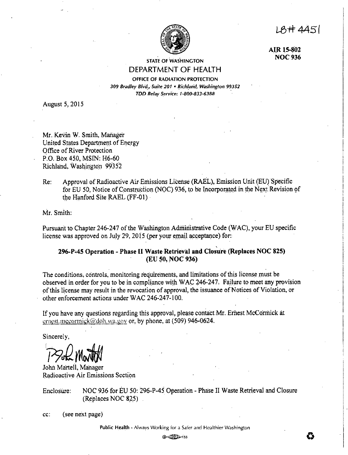A#4451



**AIR 15-802 NOC936** 

STATE OF WASHINGTON

# DEPARTMENT OF **HEALTH**  OFFICE OF RADIATION PROTECTION

*309 Bradley Blvd\_., Suite 201* • *Rich/arid, Washington 99352 TDD Relay Service: 1 ·800·831·6388* 

August 5, 2015

Mr. Kevin W. Smith, Manager United States Department of Energy Office of River Protection P.O. Box450, MSIN: H6-60 Richland, Washington 99352

Re: Approval of Radioactive Air Emissions License (RAEL), Emission Unit (EU) Specific for EU 50, Notice of Construction (NOC) 936, to be Incorporated in the Next Revision of the Hanford Site RAEL (FF-01) ·

Mr. Smith:

Pursuant to Chapter 246-247 of the Washington Administrative Code (WAC), your EU specific license was approved on July 29, 2015 (per your email acceptance) for:

## **296-P-45 Operation - Phase II Waste Retrieval and Clos'u're (Replaces NOC 825) (EU 50, NOC 936)**

The conditions;.ccintrols, monitoring requirements, and limitations of this license must be observed in order for you to be in compliance with WAC 246-247. Failure to meet any provision ofthis license may result in the revocation of approval, the issuance of Notices of Violation, or other enforcement actions under WAC 246-247-100.

If you have any questions regarding this approval, please contact Mr. Ernest McCormick at ernest.mccormick@doh.wa.gov or. by phone, at (509) 946-0624.

Sincerely,

**1** 1 Sok Marth

John Martell, Manager Radioactive Air Emissions Section

Enclosure: NOC 936 for EU 50: 296-P-45 Operation - Phase II Waste Retrieval and Closure  $(Replaces NOC 825)$ .

cc: (see next page)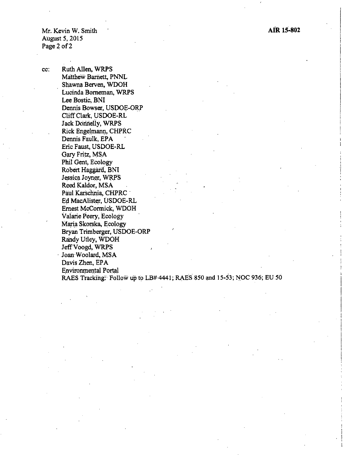Mr. Kevin W. Smith August 5, 2015 Page 2 of 2

cc: Ruth Allen, WRPS Matthew Barnett, PNNL Shawna Berven, WDOH Lucinda Borneman, WRPS Lee Bostic, BNI Dennis Bowser, USDOE-ORP Cliff Clark, USDOE-RL Jack Donnelly, WRPS Rick Engelmann, CHPRC Dennis Faulk, EPA Eric Faust, USDOE-RL Gary Fritz, MSA Phil Gent, Ecology Robert Haggard, BNI Jessica Joyner, WRPS Reed Kaldor, MSA Paul Karschnia, CHPRC · Ed MacAlister, USDOE-RL Ernest McCormick, WDOH Valarie Peery, Ecology Mari\_a Skorska, Ecology Bryan Trimberger, USDOE-ORP Randy Utley, WDOH Jeff Voogd, WRPS Joan Woolard, MSA Davis Zhen, EPA Environmental Portal RAES Tracking: Follow up to LB# 4441; RAES 850 and 15-53; NOC 936; EU 50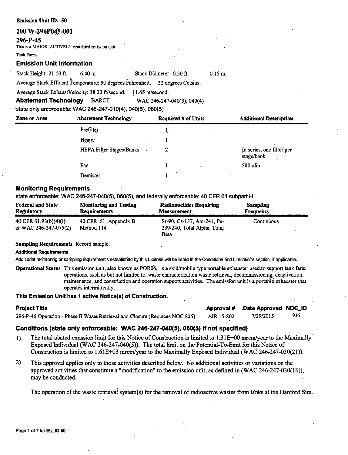### **Emission Unit ID: 50**

### 200 W-296P045-001

## 296-P-45

This is a MAJOR, ACTIVELY ventilated emission unit.

### Tank Farms

### **Emission Unit Information**

Stack Height: 21.00 ft.  $6.40 m.$ 

Stack Diameter 0.50 ft.  $0.15 m$ 

Average Stack Effluent Temperature: 90 degrees Fahrenheit. 32 degrees Celsius.

Average Stack ExhaustVelocity: 38.22 ft/second.  $11.65$  m/second.

WAC 246-247-040(3), 040(4) **Abatement Technology BARCT** 

state only enforceable: WAC 246-247-010(4), 040(5), 060(5)

| Zone or Area | <b>Abatement Technology</b> | <b>Required # of Units</b> | <b>Additional Description</b>           |
|--------------|-----------------------------|----------------------------|-----------------------------------------|
|              | Prefilter                   |                            |                                         |
|              | Heater                      |                            |                                         |
|              | HEPA Filter Stages/Banks    |                            | In series, one filter per<br>stage/bank |
|              | Fan                         |                            | $500$ cfm                               |
|              | Demister:                   |                            |                                         |

### **Monitoring Requirements**

state enforceable: WAC 246-247-040(5), 060(5), and federally enforceable: 40 CFR 61 subpart H

| <b>Federal and State</b><br>Regulatory | <b>Monitoring and Testing</b><br>Requirements | <b>Radionuclides Requiring</b><br><b>Measurement</b> | <b>Sampling</b><br><b>Frequency</b> |
|----------------------------------------|-----------------------------------------------|------------------------------------------------------|-------------------------------------|
| 40 CFR 61.93(b)(4)(i)                  | 40 CFR 61, Appendix B                         | Sr-90, Cs-137, Am-241, Pu-                           | Continuous                          |
| & WAC 246-247-075(2)                   | Method 114                                    | 239/240, Total Alpha, Total<br>Beta                  |                                     |

### Sampling Requirements Record sample.

**Additional Requirements** 

Additional monitoring or sampling requirements established by this License will be listed in the Conditions and Limitations section, if applicable.

Operational Status This emission unit, also known as POR06, is a skid/mobile type portable exhauster used to support tank farm operations, such as but not limited to, waste characterization waste retrieval, decommissioning, deactivation, maintenance, and construction and operation support activities. The emission unit is a portable exhauster that operates intermittently.

### This Emission Unit has 1 active Notice(s) of Construction.

| Project Title                                                                |            | Approval # Date Approved NOC_ID |     |
|------------------------------------------------------------------------------|------------|---------------------------------|-----|
| 296-P-45 Operation - Phase II Waste Retrieval and Closure (Replaces NOC 825) | AIR 15-802 | 7/29/2015                       | 936 |

## Conditions (state only enforceable: WAC 246-247-040(5), 060(5) if not specified)

- The total abated emission limit for this Notice of Construction is limited to 1.31E+00 mrem/year to the Maximally  $\mathbf{I}$ Exposed Individual (WAC 246-247-040(5)). The total limit on the Potential-To-Emit for this Notice of Construction is limited to 1.61E+03 mrem/year to the Maximally Exposed Individual (WAC 246-247-030(21)).
- $2)$ This approval applies only to those activities described below. No additional activities or variations on the approved activities that constitute a "modification" to the emission unit, as defined in (WAC 246-247-030(16)), may be conducted.

The operation of the waste retrieval system(s) for the removal of radioactive wastes from tanks at the Hanford Site.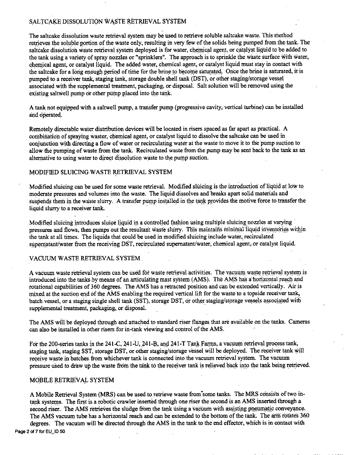## SALTCAKE DISSOLUTION WASTE RETRIEVAL SYSTEM

The saltcake dissolution waste retrieval system may be used to retrieve soluble saltcake waste. This method retrieves the soluble portion of the waste only, resulting in very few of the solids being pumped from the tank. The saltcake dissolution waste retrieval system deployed is for water, chemical agent, or catalyst liquid to be added to the tank using a variety of spray nozzles or "sprinklers". The approach is to sprinkle the waste surface with water, chemical agent, or catalyst liquid. The added water, chemical agent, or catalyst liquid muststay in contact with the saltcake for a long enough period of time for the brine to become saturated. Once the brine is saturated, it is pumped to a receiver tank, staging tank, storage double shell tank (DST), or other staging/storage vessel associated with the supplemental treatment, packaging, or disposal. Salt solution will be:removed.using the existing saltwell pump or other pump placed into the tank.

A tank not equipped with a saltwell pump, a transfer pump (progressive cavity, vertical turbine) can be installed and operated.

Remotely directable water distribution devices will be located in risers spaced as far apart as practical. A combination of spraying waster, chemical agent, or catalyst liquid to dissolve the saltcake can be used in conjunction with directing a flow of water or recirculating water at the waste to move it to the pump suction to allow the pumping of waste from the tank. Recirculated waste from the pump may be sent back to the tank as an alternative to using water to direct dissolution waste to the pump suction.

### MODIFIED SLUICING WASTE RETRIEVAL SYSTEM

Modified sluicing can be used for some waste retrieval. Modified sluicing is the introduction of liquid at low to moderate pressures and volumes into the waste. The liquid dissolves and breaks apart solid materials and suspends them in the waste slurry. A transfer pump installed in the tank provides the motive force to transfer the liquid slurry to a receiver tank.

Modified sluicing introduces sluice liquid in a controlled fashion using multiple sluicing nozzles at varying pressures and flows, then pumps out the resultant waste slurry. This maintains minimal liquid inventories within the tank at all times. The liquids that could be used in modified sluicing include water, recirculated supernatant/water from the receiving DST, recirculated supernatant/water, chemical agent, or catalyst liquid.

### VACUUM WASTE RETRIEVAL SYSTEM

A vacuum waste retrieval system can be used for waste retrieval activities. The vacuum waste retrieval system is introduced into the tanks-by means of an articulating mast system (AMS). The AMS has a horizontal reach and rotational capabilities of 360 degrees. The AMS has a retracted position and can be. extended vertically. Air is mixed at the suction end of the AMS enabling the required vertical lift for the waste to a topside receiver tank, batch vessel, or a staging single shell tank (SST), storage DST, or other staging/storage vessels associated with supplemental treatment, packaging, or disposal.

The AMS will be deployed through and attached to standard riser flanges that are available on the tanks. Cameras can also be installed in other risers for in-tank viewing and control of the AMS.

For the 200-series tanks in the 241-C, 241-U, 241-B, and 241-T Tank Farms, a vacuum retrieval process tank, staging tank, staging SST, storage DST, or other staging/storage vessel will be deployed. The receiver tank will receive waste in batches from whichever tank is connected into the vacuum retrieval system. The vacuum pressure used to draw up the waste from the tank to the receiver tank is relieved back into the tank being retrieved.

### MOBILE RETRIEVAL SYSTEM

A Mobile Retrieval System (MRS) can be used to retrieve waste from some tanks. The MRS consists of two intank systems. The first is a robotic crawler inserted through one riser the second is an AMS inserted through a second riser. The AMS retrieves the sludge from the tank using a vacuum with assisting pneumatic conveyance. The AMS vacuum tube has a horizontal reach and can be extended to the bottom of the tank. The arm rotates 360 degrees. The vacuum will be directed through the AMS in the tank to the end effector, which is in contact with Page 2 of 7 for EU ID 50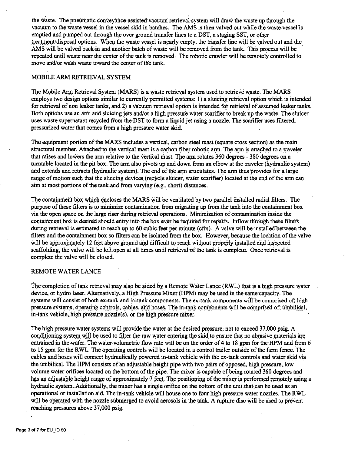the waste. The pnewriatic conveyance-assisted vacuum retrieval system will draw the waste up through the vacuum to the waste vessel in the vessel skid in batches. The AMS is then valved out while the waste vessel is emptied and pumped out through the over ground transfer lines to a DST, a staging SST, or other treatment/disposal options. When the waste vessel is nearly empty, the transfer line will be valved out and the AMS will be valved back in and another batch of waste will be removed from the tank. This process will be repeated until waste near the center of the tank is removed. The robotic crawler will be remotely controlled to move and/or wash waste toward the center of the tank.

### MOBILE ARM RETRIEVAL SYSTEM

The Mobile Ann Retrieval System (MARS) is a waste retrieval system used to retrieve waste. The MARS employs two design options similar to currently permitted systems: I) a sluicing retrieval option which is intended for retrieval of non leaker tanks, and 2) a vacuum retrieval option is intended for retrieval of assumed leaker tanks. Both options use an arm and sluicing jets and/or a high pressure water scarifier to break up the waste. The sluicer uses waste supernatant recycled from the DST to form a liquid jet using a nozzle. The scarifier uses filtered, pressurized water that comes from a high pressure water skid.

The equipment portion of the MARS includes a vertical, carbon steel mast (square cross section) as the main structural member. Attached to the vertical mast is a carbon fiber robotic arm. The arm is attached to a traveler that raises and lowers the arm relative to the vertical mast. The arm rotates 360 degrees - 380 degrees on a turntable located in the pit box. The arm also pivots up and down from an elbow at the traveler (hydraulic system) and extends and retracts (hydraulic system). The end of the arm articulates. The arm thus provides for a large range of motion such that the sluicing devices (recycle sluicer, water scarifier) located at the end of the arm can aim at most portions of the tank and from varying (e.g., short) distances.

The containment box which encloses the MARS will be ventilated by two parallel installed radial filters. The purpose of these filters is to minimize contamination from migrating up from the tank into the containment box via the open space on the large riser during retrieval operations. Minimization of contamination inside the containment box is desired should entry into the box ever be required for repairs. Inflow through these filters during retrieval is estimated to reach up to 60 cubic feet per minute (cfm). A valve will be installed between the filters and the containment box so filters can be isolated from the box. However, because the location of the valve will be approximately 12 feet above ground and difficult to reach without properly installed and inspected scaffolding, the valve will be:left. open at all times until retrieval of the tank is complete. Once retrieval is complete the valve will be closed.

### REMOTE WATER LANCE

The completion of tank retrieval may also be aided by a Remote Water Lance (RWL) that is a high pressure water device, or hydro laser. Alternatively, a High Pressure Mixer (HPM) may be used in the same capacity. The systems will consist of both ex-tank and in-tank components. The ex-tank components will be comprised of; high pressure systems, operating controls, cables, and hoses. The in-tank components will be comprised of; umbilical, in-tank vehicle, high pressure ncizzle(s), or the high pressure mixer.

The high pressure water systems·will provide the water at the desired pressure; not to exceed 37,000 psig.A conditioning system will be used to filter the raw water entering the skid to ensure that no abrasive materials are entrained in the water. The water volumetric flow rate will be on the order of 4 to 18 gpm for the HPM and from 6 to 15 gpm for the RWL. The operating controls will be located in a control trailer outside of the farm fence. the cables and hoses will connect hydraulically powered-in-tank vehicle with the ex-tank controls and water skid via the umbilical. The HPM consists of an adjustable height pipe with two pairs of opposed, high pressure, low volume water orifices located on the bottom of the pipe. The mixer is capable of being rotated 360 degrees and has an adjustable height range of approximately 7 feet. The positioning of the mixer is performed remotely using a hydraulic system. Additionally, the mixer has a single orifice on the bottom of the unit that can be used as an operational or installation aid. The in-tank vehicle will house one to four high pressure water nozzles. The RWL will be operated with the nozzle submerged to avoid aerosols in the tank. A rupture disc will be used to prevent reaching pressures above.37,000 psig.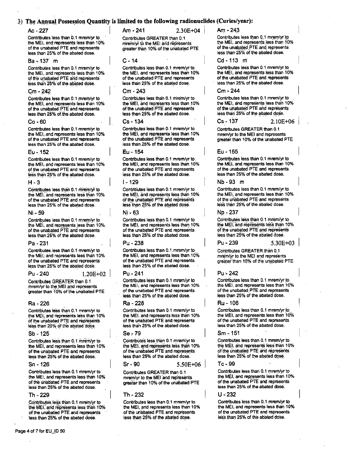### 3) The Annual Possession Quantity is limited to the following radionuclides (Curies/year):

### $Ac - 227$

Contributes less than 0.1 mrem/yr to the MEI, and represents less than 10% of the unabated PTE and represents less than 25% of the abated dose.

### Ba - 137 m

Contributes less than 0.1 mrem/yr to the MEI, and represents less than 10% of the unabated PTE and represents less than 25% of the abated dose.

#### $Cm - 242$

Contributes less than 0.1 mrem/vr to the MEI, and represents less than 10% of the unabated PTE and represents less than 25% of the abated dose.

#### $Co - 60$

Contributes less than 0.1 mrem/yr to the MEI. and represents less than 10% of the unabated PTE and represents less than 25% of the abated dose.

#### Eu - 152

Contributes less than 0.1 mrem/yr to the MEI, and represents less than 10% of the unabated PTE and represents less than 25% of the abated dose.

#### $H - 3$

Contributes less than 0.1 mrem/yr to the MEI, and represents less than 10% of the unabated PTE and represents less than 25% of the abated dose.

#### Ni - 59

Contributes less than 0.1 mrem/yr to the MEI, and represents less than 10% of the unabated PTE and represents less than 25% of the abated dose.

#### $Pa - 231$

Contributes less than 0.1 mrem/yr to the MEI. and represents less than 10% of the unabated PTE and represents less than 25% of the abated dose.

 $1.20E + 02$ 

#### $P_{11} - 240$

Contributes GREATER than 0.1 mrem/yr to the MEI and represents greater than 10% of the unabated PTE

#### Ra - 226

Contributes less than 0.1 mrem/yr to the MEI, and represents less than 10% of the unabated PTE and represents less than 25% of the abated dose.

#### Sb - 125

Contributes less than 0.1 mrem/yr to the MEI, and represents less than 10% of the unabated PTE and represents less than 25% of the abated dose.

#### $Sn - 126$

Contributes less than 0.1 mrem/yr to the MEI, and represents less than 10% of the unabated PTE and represents less than 25% of the abated dose.

#### Th - 229

Contributes less than 0.1 mrem/yr to the MEI, and represents less than 10% of the unabated PTE and represents less than 25% of the abated dose.

Am - 241

 $2.30E + 04$ 

Contributes GREATER than 0.1 mrem/vr to the MEI and represents greater than 10% of the unabated PTE

#### $C - 14$

Contributes less than 0.1 mrem/yr to the MEI, and represents less than 10% of the unabated PTE and represents less than 25% of the abated dose.

### Cm - 243

Contributes less than 0.1 mrem/yr to the MEI, and represents less than 10% of the unabated PTE and represents less than 25% of the abated dose.

### $Cs - 134$

Contributes less than 0.1 mrem/yr to the MEI, and represents less than 10% of the unabated PTE and represents less than 25% of the abated dose.

#### $F_{11}$  – 154

Contributes less than 0.1 mrem/yr to the MEI, and represents less than 10% of the unabated PTE and represents less than 25% of the abated dose.

#### I - 129

Contributes less than 0.1 mrem/yr to the MEI, and represents less than 10% of the unabated PTE and represents less than 25% of the abated dose.

#### Ni - 63

Contributes less than 0.1 mrem/yr to the MEI, and represents less than 10% of the unabated PTE and represents less than 25% of the abated dose.

#### Pu - 238

Contributes less than 0.1 mrem/yr to the MEI, and represents less than 10% of the unabated PTE and represents. less than 25% of the abated dose.

#### Pu - 241

Contributes less than 0.1 mrem/yr to the MEI, and represents less than 10% of the unabated PTE and represents less than 25% of the abated dose.

#### Ra - 228

Contributes less than 0.1 mrem/vr to the MEI, and represents less than 10% of the unabated PTE and represents less than 25% of the abated dose.

### Se - 79

Contributes less than 0.1 mrem/vr to the MEI, and represents less than 10% of the unabated PTE and represents less than 25% of the abated dose.

#### $Sr-90$

Contributes GREATER than 0.1 mrem/yr to the MEI and represents greater than 10% of the unabated PTE

 $5.50E + 06$ 

#### Th - 232

Contributes less than 0.1 mrem/yr to the MEI, and represents less than 10% of the unabated PTE and represents less than 25% of the abated dose.

 $Am - 243$ 

Contributes less than 0.1 mrem/vr to the MEI, and represents less than 10% of the unabated PTE and represents less than 25% of the abated dose.

#### Cd-113 m

Contributes less than 0.1 mmm/vr to the MEI, and represents less than 10% of the unabated PTE and represents less than 25% of the abated dose.

### Cm - 244

Contributes less than 0.1 mrem/vr to the MEI, and represents less than 10% of the unabated PTE and represents less than 25% of the abated dose.

### Cs - 137

 $2.10E + 06$ 

 $5.30E + 03$ 

Contributes GREATER than 0.1 mrem/vr to the MEI and represents greater than 10% of the unabated PTE

#### Eu - 155

Contributes less than 0.1 mrem/yr to the MEI, and represents less than 10% of the unabated PTE and represents less than 25% of the abated dose.

#### Nb - 93 m

Contributes less than 0.1 mrem/yr to the MEI, and represents less than 10% of the unabated PTE and represents less than 25% of the abated dose.

#### No - 237

Contributes less than 0.1 mrem/yr to the MEI, and represents less than 10% of the unabated PTE and represents less than 25% of the abated dose.

 $Pu - 239$ 

Contributes GREATER than 0.1 mrem/yr to the MEI and represents greater than 10% of the unabated PTE

#### $Pu - 242$

Contributes less than 0.1 mrem/yr to the MEI, and represents less than 10% of the unabated PTE and represents less than 25% of the abated dose.

#### Ru - 106

Contributes less than 0.1 mrem/vr to the MEI, and represents less than 10% of the unabated PTE and represents less than 25% of the abated dose.

#### Sm - 151

Contributes less than 0.1 mrem/yr to the MEI, and represents less than 10% of the unabated PTE and represents less than 25% of the abated dose.

#### Tc-99

Contributes less than 0.1 mrem/yr to the MEI, and represents less than 10% of the unabated PTE and represents less than 25% of the abated dose.

U - 232

Contributes less than 0.1 mrem/yr to the MEI, and represents less than 10% of the unabated PTE and represents less than 25% of the abated dose.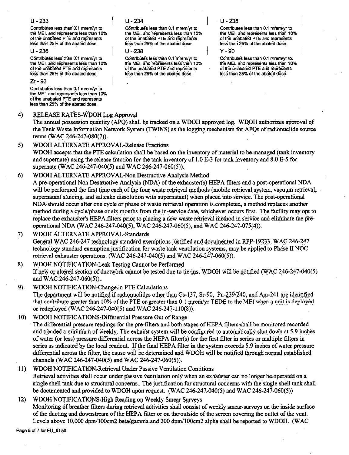### $U - 233$

Contributes less than 0.1 mrem/yr to the MEI, and represents less than 10% of the unabated PTE and represents less than 25% of the abated dose.

### U - 236

Contributes less than 0.1 mrem/vr to the MEI, and represents less than 10% of the unabated PTE and represents less than 25% of the abated dose.

### **7r - 93**

Contributes less than 0.1 mram/vr to the MEI, and represents less than 10% of the unabated PTE and represents less than 25% of the abated dose.

#### $4)$ RELEASE RATES-WDOH Log Approval

The annual possession quantity (APO) shall be tracked on a WDOH approved log. WDOH authorizes approval of the Tank Waste Information Network System (TWINS) as the logging mechanism for APOs of radionuclide source terms (WAC 246-247-080(7)).

#### $5)$ WDOH ALTERNATE APPROVAL-Release Fractions

WDOH accepts that the PTE calculation shall be based on the inventory of material to be managed (tank inventory and supernate) using the release fraction for the tank inventory of 1.0 E-3 for tank inventory and 8.0 E-5 for supernate (WAC 246-247-040(5) and WAC 246-247-060(5)).

#### $6)$ WDOH ALTERNATE APPROVAL-Non Destructive Analysis Method

A pre-operational Non Destructive Analysis (NDA) of the exhauster(s) HEPA filters and a post-operational NDA will be performed the first time each of the four waste retrieval methods (mobile retrieval system, vacuum retrieval, supernatant sluicing, and saltcake dissolution with supernatant) when placed into service. The post-operational NDA should occur after one cycle or phase of waste retrieval operation is completed, a method replaces another method during a cycle/phase or six months from the in-service date, whichever occurs first. The facility may opt to replace the exhauster's HEPA filters prior to placing a new waste retrieval method in service and eliminate the preoperational NDA (WAC 246-247-040(5), WAC 246-247-060(5), and WAC 246-247-075(4)).

#### WDOH ALTERNATE APPROVAL-Standards  $\mathcal{D}$

General WAC 246-247 technology standard exemptions justified and documented in RPP-19233, WAC 246-247 technology standard exemption justification for waste tank ventilation systems, may be applied to Phase II NOC retrieval exhauster operations. (WAC 246-247-040(5) and WAC 246-247-060(5)).

#### WDOH NOTIFICATION-Leak Testing Cannot be Performed 8)

If new or altered section of ductwork cannot be tested due to tie-ins. WDOH will be notified (WAC 246-247-040(5) and WAC 246-247-060(5)).

 $9$ . WDOH NOTIFICATION-Change in PTE Calculations

The department will be notified if radionuclides other than Cs-137, Sr-90, Pu-239/240, and Am-241 are identified that contribute greater than 10% of the PTE or greater than 0.1 mrem/yr TEDE to the MEI when a unit is deployed or redeployed (WAC 246-247-040(5) and WAC 246-247-110(8)).

WDOH NOTIFICATIONS-Differential Pressure Out of Range  $10<sub>1</sub>$ 

The differential pressure readings for the pre-filters and both stages of HEPA filters shall be monitored recorded and trended a minimum of weekly. The exhaust system will be configured to automatically shut down at 5.9 inches of water (or less) pressure differential across the HEPA filter(s) for the first filter in series or multiple filters in series as indicated by the local readout. If the final HEPA filter in the system exceeds 5.9 inches of water pressure differential across the filter, the cause will be determined and WDOH will be notified through normal established channels (WAC 246-247-040(5) and WAC 246-247-060(5)).

### $11)$ WDOH NOTIFICATION-Retrieval Under Passive Ventilation Contitions Retrieval activities shall occur under passive ventilation only when an exhauster can no longer be operated on a single shell tank due to structural concerns. The justification for structural concerns with the single shell tank shall be documented and provided to WDOH upon request. (WAC 246-247-040(5) and WAC 246-247-060(5))

### $12)$ WDOH NOTIFICATIONS-High Reading on Weekly Smear Surveys Monitoring of breather filters during retrieval activities shall consist of weekly smear surveys on the inside surface of the ducting and downstream of the HEPA filter or on the outside of the screen covering the outlet of the vent. Levels above 10,000 dpm/100cm2 beta/gamma and 200 dpm/100cm2 alpha shall be reported to WDOH. (WAC

Page 5 of 7 for EU\_ID 50

### $U - 234$

Contributes less than 0.1 mrem/yr to the MEI, and represents less than 10% of the unabated PTE and represents less than 25% of the abated dose.

### U - 238

Contributes less than 0.1 mrem/vr to the MEI, and represents less than 10% of the unabated PTE and represents less than 25% of the abated dose.

### $U - 235$

Contributes less than 0.1 mrem/yr to the MEI, and represents less than 10% of the unabated PTE and represents less than 25% of the abated dose.

### $Y - 90$

Contributes less than 0.1 mrem/vr to the MEI, and represents less than 10% of the unabated PTE and represents less than 25% of the abated dose.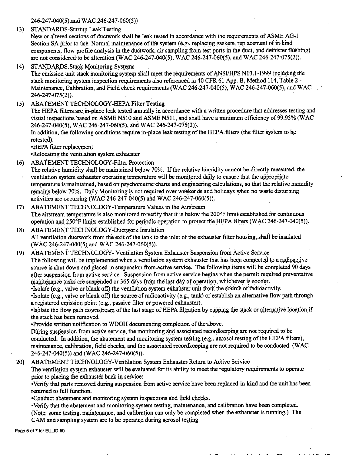246-247-040(5) and WAC 246-247-060(5))

13) STANDARDS-Startup Leak Testing

New or altered sections of ductwork shall be leak tested in accordance with the requirements of ASME AG-1 Section SA prior to use. Normal maintenance of the system (e.g., replacing gaskets, replacement of in kind components, flow profile analysis in the ductwork, air sampling from test ports in the duct, and demister flushing) are not considered to be alteration (WAC 246-247-040(5), WAC 246-247-060(5), and WAC 246-247-075(2)).

STANDARDS-Stack Monitoring Systems  $14)$ 

The emission unit stack monitoring system shall meet the requirements of ANSI/HPS N13.1-1999 including the stack monitoring system inspection requirements also referenced in 40 CFR 61 App. B. Method 114, Table 2 -Maintenance, Calibration, and Field check requirements (WAC 246-247-040(5), WAC 246-247-060(5), and WAC 246-247-075(2)).

15) ABATEMENT TECHNOLOGY-HEPA Filter Testing

The HEPA filters are in-place leak tested annually in accordance with a written procedure that addresses testing and visual inspections based on ASME N510 and ASME N511, and shall have a minimum efficiency of 99.95% (WAC 246-247-040(5), WAC 246-247-060(5), and WAC 246-247-075(2)).

In addition, the following conditions require in-place leak testing of the HEPA filters (the filter system to be retested):

·HEPA filter replacement

•Relocating the ventilation system exhauster

16) ABATEMENT TECHNOLOGY-Filter Protection

The relative humidity shall be maintained below 70%. If the relative humidity cannot be directly measured, the ventilation system exhauster operating temperature will be monitored daily to ensure that the appropriate temperature is maintained, based on psychometric charts and engineering calculations, so that the relative humidity remains below 70%. Daily Monitoring is not required over weekends and holidays when no waste disturbing activities are occurring (WAC 246-247-040(5) and WAC 246-247-060(5)).

- ABATEMENT TECHNOLOGY-Temperature Values in the Airstream  $17)$ The airstream temperature is also monitored to verify that it is below the 200°F limit established for continuous operation and 250°F limits established for periodic operation to protect the HEPA filters (WAC 246-247-040(5)).
- **ABATEMENT TECHNOLOGY-Ductwork Insulation** 18) All ventilation ductwork from the exit of the tank to the inlet of the exhauster filter housing, shall be insulated (WAC 246-247-040(5) and WAC 246-247-060(5)).
- ABATEMENT TECHNOLOGY- Ventilation System Exhauster Suspension from Active Service  $19)$ The following will be implemented when a ventilation system exhauster that has been connected to a radioactive source is shut down and placed in suspension from active service. The following items will be completed 90 days after suspension from active service. Suspension from active service begins when the permit required preventative maintenance tasks are suspended or 365 days from the last day of operation, whichever is sooner.

•Isolate (e.g., valve or blank off) the ventilation system exhauster unit from the source of radioactivity.

•Isolate (e.g., valve or blank off) the source of radioactivity (e.g., tank) or establish an alternative flow path through a registered emission point (e.g., passive filter or powered exhauster).

•Isolate the flow path downstream of the last stage of HEPA filtration by capping the stack or alternative location if the stack has been removed.

•Provide written notification to WDOH documenting completion of the above.

During suspension from active service, the monitoring and associated recordkeeping are not required to be conducted. In addition, the abatement and monitoring system testing (e.g., aerosol testing of the HEPA filters), maintenance, calibration, field checks, and the associated recordkeeping are not required to be conducted (WAC 246-247-040(5)) and (WAC 246-247-060(5)).

ABATEMENT TECHNOLOGY-Ventilation System Exhauster Return to Active Service  $20)$ 

The ventilation system exhauster will be evaluated for its ability to meet the regulatory requirements to operate prior to placing the exhauster back in service:

. Verify that parts removed during suspension from active service have been replaced-in-kind and the unit has been returned to full function.

.Conduct abatement and monitoring system inspections and field checks.

•Verify that the abatement and monitoring system testing, maintenance, and calibration have been completed. (Note: some testing, maintenance, and calibration can only be completed when the exhauster is running.) The CAM and sampling system are to be operated during aerosol testing.

Page 6 of 7 for EU\_ID 50